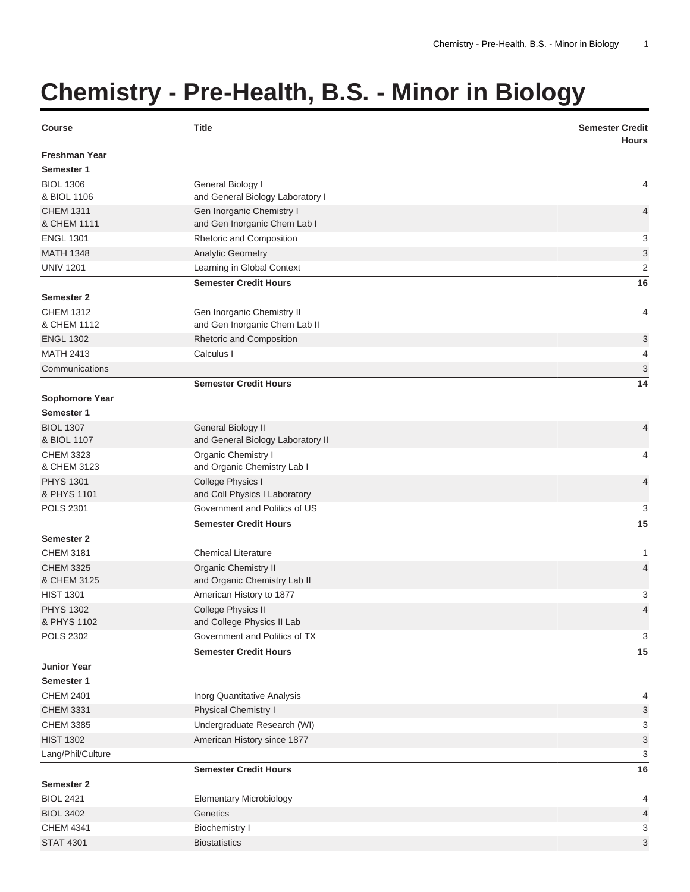## **Chemistry - Pre-Health, B.S. - Minor in Biology**

| <b>Course</b>                      | <b>Title</b>                                              | <b>Semester Credit</b><br><b>Hours</b> |
|------------------------------------|-----------------------------------------------------------|----------------------------------------|
| <b>Freshman Year</b><br>Semester 1 |                                                           |                                        |
| <b>BIOL 1306</b>                   | General Biology I                                         | 4                                      |
| & BIOL 1106                        | and General Biology Laboratory I                          |                                        |
| <b>CHEM 1311</b><br>& CHEM 1111    | Gen Inorganic Chemistry I<br>and Gen Inorganic Chem Lab I | $\overline{4}$                         |
| <b>ENGL 1301</b>                   | Rhetoric and Composition                                  | 3                                      |
| <b>MATH 1348</b>                   | Analytic Geometry                                         | 3                                      |
| <b>UNIV 1201</b>                   | Learning in Global Context                                | $\overline{2}$                         |
|                                    | <b>Semester Credit Hours</b>                              | 16                                     |
| <b>Semester 2</b>                  |                                                           |                                        |
| <b>CHEM 1312</b>                   | Gen Inorganic Chemistry II                                | 4                                      |
| & CHEM 1112                        | and Gen Inorganic Chem Lab II                             |                                        |
| <b>ENGL 1302</b>                   | Rhetoric and Composition                                  | 3                                      |
| <b>MATH 2413</b>                   | Calculus I                                                | 4                                      |
| Communications                     |                                                           | 3                                      |
|                                    | <b>Semester Credit Hours</b>                              | 14                                     |
| <b>Sophomore Year</b>              |                                                           |                                        |
| Semester 1                         |                                                           |                                        |
| <b>BIOL 1307</b>                   | General Biology II                                        | $\overline{4}$                         |
| & BIOL 1107                        | and General Biology Laboratory II                         |                                        |
| <b>CHEM 3323</b><br>& CHEM 3123    | Organic Chemistry I                                       | 4                                      |
| <b>PHYS 1301</b>                   | and Organic Chemistry Lab I<br>College Physics I          | $\overline{4}$                         |
| & PHYS 1101                        | and Coll Physics I Laboratory                             |                                        |
| <b>POLS 2301</b>                   | Government and Politics of US                             | 3                                      |
|                                    | <b>Semester Credit Hours</b>                              | 15                                     |
| <b>Semester 2</b>                  |                                                           |                                        |
| <b>CHEM 3181</b>                   | <b>Chemical Literature</b>                                | 1                                      |
| <b>CHEM 3325</b>                   | <b>Organic Chemistry II</b>                               | $\overline{4}$                         |
| & CHEM 3125                        | and Organic Chemistry Lab II                              |                                        |
| <b>HIST 1301</b>                   | American History to 1877                                  | 3                                      |
| <b>PHYS 1302</b>                   | College Physics II                                        | $\overline{4}$                         |
| & PHYS 1102                        | and College Physics II Lab                                |                                        |
| <b>POLS 2302</b>                   | Government and Politics of TX                             | 3                                      |
|                                    | <b>Semester Credit Hours</b>                              | 15                                     |
| <b>Junior Year</b>                 |                                                           |                                        |
| Semester 1                         |                                                           |                                        |
| <b>CHEM 2401</b>                   | Inorg Quantitative Analysis                               | 4                                      |
| <b>CHEM 3331</b>                   | Physical Chemistry I                                      | 3                                      |
| <b>CHEM 3385</b>                   | Undergraduate Research (WI)                               | 3                                      |
| <b>HIST 1302</b>                   | American History since 1877                               | $\sqrt{3}$                             |
| Lang/Phil/Culture                  |                                                           | 3                                      |
| <b>Semester 2</b>                  | <b>Semester Credit Hours</b>                              | 16                                     |
| <b>BIOL 2421</b>                   | <b>Elementary Microbiology</b>                            | 4                                      |
| <b>BIOL 3402</b>                   | Genetics                                                  | 4                                      |
| <b>CHEM 4341</b>                   | <b>Biochemistry I</b>                                     | 3                                      |
| <b>STAT 4301</b>                   | <b>Biostatistics</b>                                      | 3                                      |